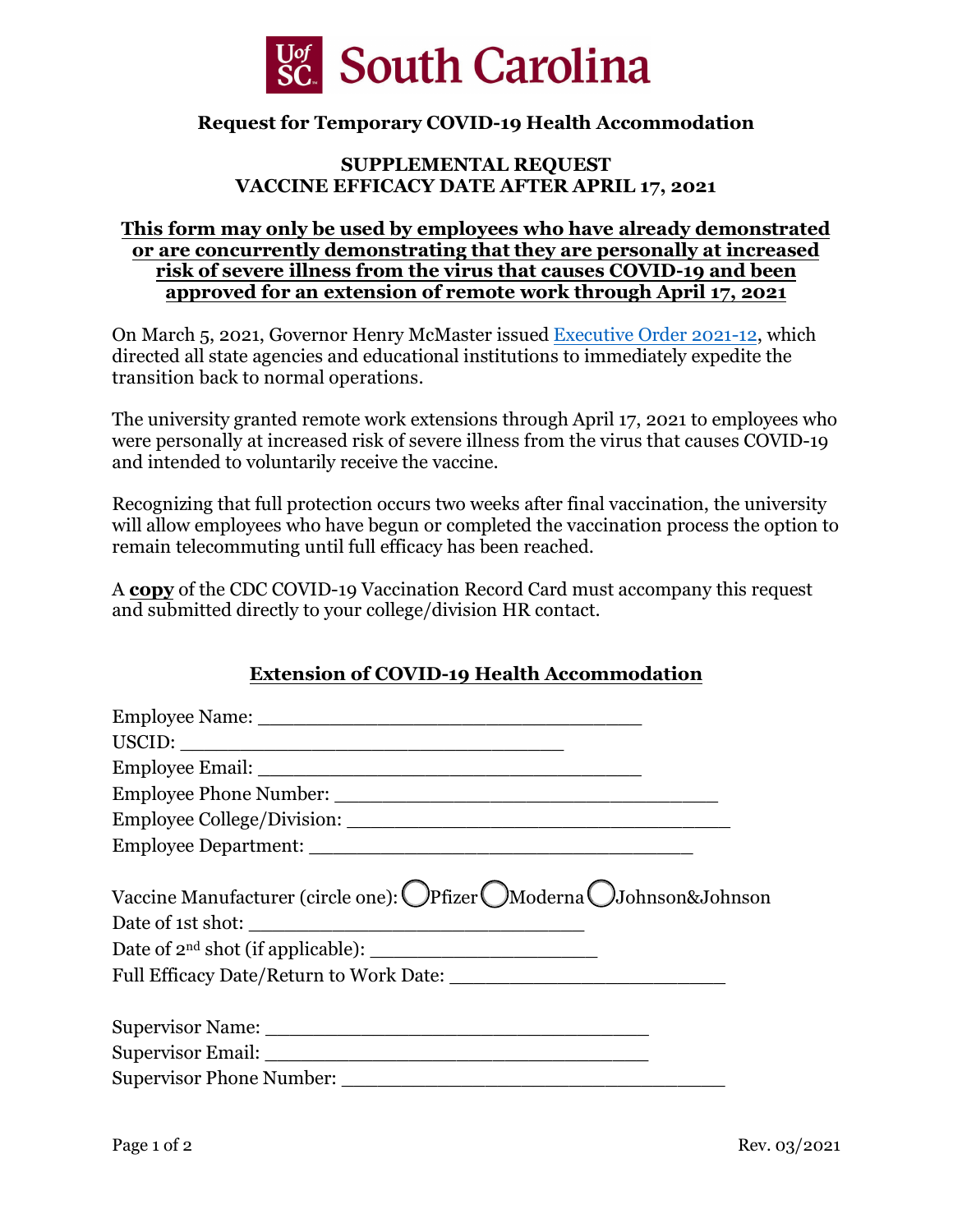

### **Request for Temporary COVID-19 Health Accommodation**

#### **SUPPLEMENTAL REQUEST VACCINE EFFICACY DATE AFTER APRIL 17, 2021**

#### **This form may only be used by employees who have already demonstrated or are concurrently demonstrating that they are personally at increased risk of severe illness from the virus that causes COVID-19 and been approved for an extension of remote work through April 17, 2021**

On March 5, 2021, Governor Henry McMaster issued [Executive Order 2021-12,](https://governor.sc.gov/news/2021-03/gov-henry-mcmaster-modifies-emergency-orders-ensuring-continuity-essential-government) which directed all state agencies and educational institutions to immediately expedite the transition back to normal operations.

The university granted remote work extensions through April 17, 2021 to employees who were personally at increased risk of severe illness from the virus that causes COVID-19 and intended to voluntarily receive the vaccine.

Recognizing that full protection occurs two weeks after final vaccination, the university will allow employees who have begun or completed the vaccination process the option to remain telecommuting until full efficacy has been reached.

A **copy** of the CDC COVID-19 Vaccination Record Card must accompany this request and submitted directly to your college/division HR contact.

### **Extension of COVID-19 Health Accommodation**

| Vaccine Manufacturer (circle one): OPfizer OModerna OJohnson&Johnson |
|----------------------------------------------------------------------|
|                                                                      |
|                                                                      |
|                                                                      |